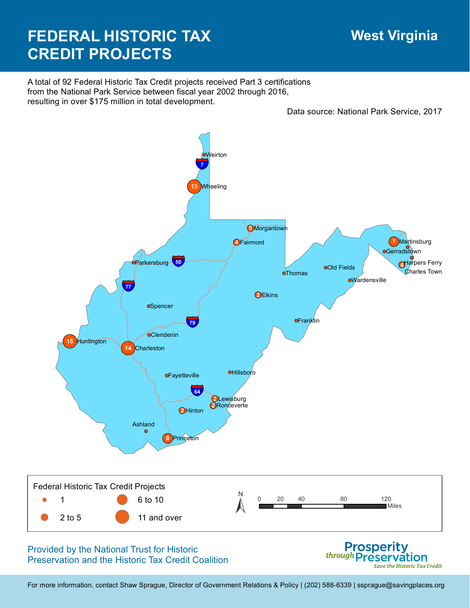## **West Virginia**

Save the Historic Tax Credit

## **FEDERAL HISTORIC TAX CREDIT PROJECTS**

A total of 92 Federal Historic Tax Credit projects received Part 3 certifications from the National Park Service between fiscal year 2002 through 2016, resulting in over \$175 million in total development.

Data source: National Park Service, 2017



Preservation and the Historic Tax Credit Coalition

For more information, contact Shaw Sprague, Director of Government Relations & Policy | (202) 588-6339 | ssprague@savingplaces.org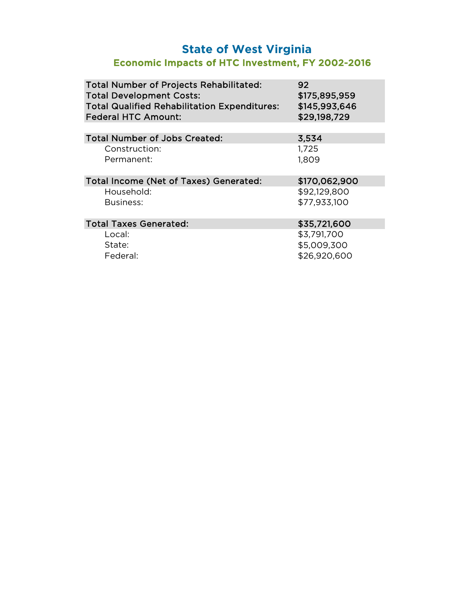## **State of West Virginia** Economic Impacts of HTC Investment, FY 2002-2016

| <b>Total Number of Projects Rehabilitated:</b><br><b>Total Development Costs:</b><br><b>Total Qualified Rehabilitation Expenditures:</b><br><b>Federal HTC Amount:</b> | 92<br>\$175,895,959<br>\$145,993,646<br>\$29,198,729 |
|------------------------------------------------------------------------------------------------------------------------------------------------------------------------|------------------------------------------------------|
|                                                                                                                                                                        |                                                      |
| <b>Total Number of Jobs Created:</b>                                                                                                                                   | 3,534                                                |
| Construction:                                                                                                                                                          | 1,725                                                |
| Permanent:                                                                                                                                                             | 1,809                                                |
| Total Income (Net of Taxes) Generated:                                                                                                                                 | \$170,062,900                                        |
| Household:                                                                                                                                                             | \$92,129,800                                         |
| Business:                                                                                                                                                              | \$77,933,100                                         |
| <b>Total Taxes Generated:</b>                                                                                                                                          | \$35,721,600                                         |
| Local:                                                                                                                                                                 | \$3,791,700                                          |
| State:                                                                                                                                                                 | \$5,009,300                                          |
| Federal:                                                                                                                                                               | \$26,920,600                                         |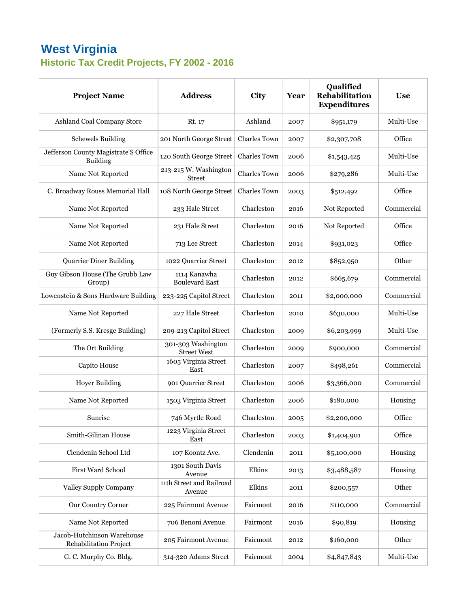## **West Virginia Historic Tax Credit Projects, FY 2002 - 2016**

| <b>Project Name</b>                                         | <b>Address</b>                           | <b>City</b>         | Year | Qualified<br><b>Rehabilitation</b><br><b>Expenditures</b> | <b>Use</b> |
|-------------------------------------------------------------|------------------------------------------|---------------------|------|-----------------------------------------------------------|------------|
| Ashland Coal Company Store                                  | Rt. 17                                   | Ashland             | 2007 | \$951,179                                                 | Multi-Use  |
| <b>Schewels Building</b>                                    | 201 North George Street                  | <b>Charles Town</b> | 2007 | \$2,307,708                                               | Office     |
| Jefferson County Magistrate'S Office<br><b>Building</b>     | 120 South George Street                  | <b>Charles Town</b> | 2006 | \$1,543,425                                               | Multi-Use  |
| Name Not Reported                                           | 213-215 W. Washington<br><b>Street</b>   | <b>Charles Town</b> | 2006 | \$279,286                                                 | Multi-Use  |
| C. Broadway Rouss Memorial Hall                             | 108 North George Street                  | <b>Charles Town</b> | 2003 | \$512,492                                                 | Office     |
| Name Not Reported                                           | 233 Hale Street                          | Charleston          | 2016 | Not Reported                                              | Commercial |
| Name Not Reported                                           | 231 Hale Street                          | Charleston          | 2016 | Not Reported                                              | Office     |
| Name Not Reported                                           | 713 Lee Street                           | Charleston          | 2014 | \$931,023                                                 | Office     |
| <b>Quarrier Diner Building</b>                              | 1022 Quarrier Street                     | Charleston          | 2012 | \$852,950                                                 | Other      |
| Guy Gibson House (The Grubb Law<br>Group)                   | 1114 Kanawha<br><b>Boulevard East</b>    | Charleston          | 2012 | \$665,679                                                 | Commercial |
| Lowenstein & Sons Hardware Building                         | 223-225 Capitol Street                   | Charleston          | 2011 | \$2,000,000                                               | Commercial |
| Name Not Reported                                           | 227 Hale Street                          | Charleston          | 2010 | \$630,000                                                 | Multi-Use  |
| (Formerly S.S. Kresge Building)                             | 209-213 Capitol Street                   | Charleston          | 2009 | \$6,203,999                                               | Multi-Use  |
| The Ort Building                                            | 301-303 Washington<br><b>Street West</b> | Charleston          | 2009 | \$900,000                                                 | Commercial |
| Capito House                                                | 1605 Virginia Street<br>East             | Charleston          | 2007 | \$498,261                                                 | Commercial |
| <b>Hoyer Building</b>                                       | 901 Quarrier Street                      | Charleston          | 2006 | \$3,366,000                                               | Commercial |
| Name Not Reported                                           | 1503 Virginia Street                     | Charleston          | 2006 | \$180,000                                                 | Housing    |
| Sunrise                                                     | 746 Myrtle Road                          | Charleston          | 2005 | \$2,200,000                                               | Office     |
| Smith-Gilinan House                                         | 1223 Virginia Street<br>East             | Charleston          | 2003 | \$1,404,901                                               | Office     |
| Clendenin School Ltd                                        | 107 Koontz Ave.                          | Clendenin           | 2011 | \$5,100,000                                               | Housing    |
| First Ward School                                           | 1301 South Davis<br>Avenue               | Elkins              | 2013 | \$3,488,587                                               | Housing    |
| <b>Valley Supply Company</b>                                | 11th Street and Railroad<br>Avenue       | Elkins              | 2011 | \$200,557                                                 | Other      |
| Our Country Corner                                          | 225 Fairmont Avenue                      | Fairmont            | 2016 | \$110,000                                                 | Commercial |
| Name Not Reported                                           | 706 Benoni Avenue                        | Fairmont            | 2016 | \$90,819                                                  | Housing    |
| Jacob-Hutchinson Warehouse<br><b>Rehabilitation Project</b> | 205 Fairmont Avenue                      | Fairmont            | 2012 | \$160,000                                                 | Other      |
| G. C. Murphy Co. Bldg.                                      | 314-320 Adams Street                     | Fairmont            | 2004 | \$4,847,843                                               | Multi-Use  |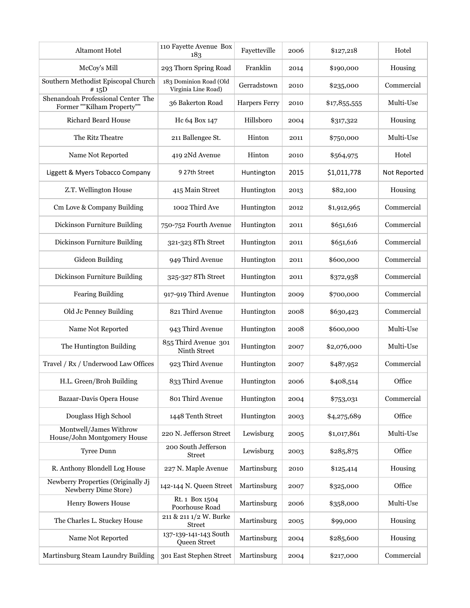| <b>Altamont Hotel</b>                                            | 110 Fayette Avenue Box<br>183                 | Fayetteville         | 2006 | \$127,218    | Hotel        |
|------------------------------------------------------------------|-----------------------------------------------|----------------------|------|--------------|--------------|
| McCoy's Mill                                                     | 293 Thorn Spring Road                         | Franklin             | 2014 | \$190,000    | Housing      |
| Southern Methodist Episcopal Church<br># 15D                     | 183 Dominion Road (Old<br>Virginia Line Road) | Gerradstown          | 2010 | \$235,000    | Commercial   |
| Shenandoah Professional Center The<br>Former ""Kilham Property"" | 36 Bakerton Road                              | <b>Harpers Ferry</b> | 2010 | \$17,855,555 | Multi-Use    |
| <b>Richard Beard House</b>                                       | Hc 64 Box 147                                 | Hillsboro            | 2004 | \$317,322    | Housing      |
| The Ritz Theatre                                                 | 211 Ballengee St.                             | Hinton               | 2011 | \$750,000    | Multi-Use    |
| Name Not Reported                                                | 419 2Nd Avenue                                | Hinton               | 2010 | \$564,975    | Hotel        |
| Liggett & Myers Tobacco Company                                  | 9 27th Street                                 | Huntington           | 2015 | \$1,011,778  | Not Reported |
| Z.T. Wellington House                                            | 415 Main Street                               | Huntington           | 2013 | \$82,100     | Housing      |
| Cm Love & Company Building                                       | 1002 Third Ave                                | Huntington           | 2012 | \$1,912,965  | Commercial   |
| Dickinson Furniture Building                                     | 750-752 Fourth Avenue                         | Huntington           | 2011 | \$651,616    | Commercial   |
| Dickinson Furniture Building                                     | 321-323 8Th Street                            | Huntington           | 2011 | \$651,616    | Commercial   |
| Gideon Building                                                  | 949 Third Avenue                              | Huntington           | 2011 | \$600,000    | Commercial   |
| Dickinson Furniture Building                                     | 325-327 8Th Street                            | Huntington           | 2011 | \$372,938    | Commercial   |
| <b>Fearing Building</b>                                          | 917-919 Third Avenue                          | Huntington           | 2009 | \$700,000    | Commercial   |
| Old Jc Penney Building                                           | 821 Third Avenue                              | Huntington           | 2008 | \$630,423    | Commercial   |
| Name Not Reported                                                | 943 Third Avenue                              | Huntington           | 2008 | \$600,000    | Multi-Use    |
| The Huntington Building                                          | 855 Third Avenue 301<br>Ninth Street          | Huntington           | 2007 | \$2,076,000  | Multi-Use    |
| Travel / Rx / Underwood Law Offices                              | 923 Third Avenue                              | Huntington           | 2007 | \$487,952    | Commercial   |
| H.L. Green/Broh Building                                         | 833 Third Avenue                              | Huntington           | 2006 | \$408,514    | Office       |
| Bazaar-Davis Opera House                                         | 801 Third Avenue                              | Huntington           | 2004 | \$753,031    | Commercial   |
| Douglass High School                                             | 1448 Tenth Street                             | Huntington           | 2003 | \$4,275,689  | Office       |
| Montwell/James Withrow<br>House/John Montgomery House            | 220 N. Jefferson Street                       | Lewisburg            | 2005 | \$1,017,861  | Multi-Use    |
| Tyree Dunn                                                       | 200 South Jefferson<br><b>Street</b>          | Lewisburg            | 2003 | \$285,875    | Office       |
| R. Anthony Blondell Log House                                    | 227 N. Maple Avenue                           | Martinsburg          | 2010 | \$125,414    | Housing      |
| Newberry Properties (Originally Jj<br>Newberry Dime Store)       | 142-144 N. Queen Street                       | Martinsburg          | 2007 | \$325,000    | Office       |
| <b>Henry Bowers House</b>                                        | Rt. 1 Box 1504<br>Poorhouse Road              | Martinsburg          | 2006 | \$358,000    | Multi-Use    |
| The Charles L. Stuckey House                                     | 211 & 211 1/2 W. Burke<br><b>Street</b>       | Martinsburg          | 2005 | \$99,000     | Housing      |
| Name Not Reported                                                | 137-139-141-143 South<br>Queen Street         | Martinsburg          | 2004 | \$285,600    | Housing      |
| Martinsburg Steam Laundry Building                               | 301 East Stephen Street                       | Martinsburg          | 2004 | \$217,000    | Commercial   |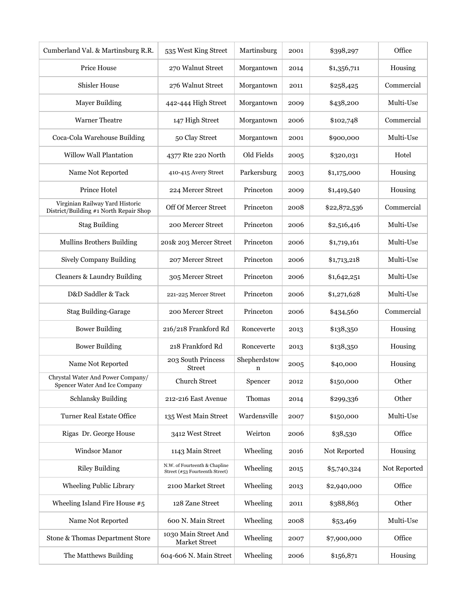| Cumberland Val. & Martinsburg R.R.                                        | 535 West King Street                                            | Martinsburg       | 2001 | \$398,297    | Office       |
|---------------------------------------------------------------------------|-----------------------------------------------------------------|-------------------|------|--------------|--------------|
| Price House                                                               | 270 Walnut Street                                               | Morgantown        | 2014 | \$1,356,711  | Housing      |
| <b>Shisler House</b>                                                      | 276 Walnut Street                                               | Morgantown        | 2011 | \$258,425    | Commercial   |
| <b>Mayer Building</b>                                                     | 442-444 High Street                                             | Morgantown        | 2009 | \$438,200    | Multi-Use    |
| <b>Warner Theatre</b>                                                     | 147 High Street                                                 | Morgantown        | 2006 | \$102,748    | Commercial   |
| Coca-Cola Warehouse Building                                              | 50 Clay Street                                                  | Morgantown        | 2001 | \$900,000    | Multi-Use    |
| Willow Wall Plantation                                                    | 4377 Rte 220 North                                              | Old Fields        | 2005 | \$320,031    | Hotel        |
| Name Not Reported                                                         | 410-415 Avery Street                                            | Parkersburg       | 2003 | \$1,175,000  | Housing      |
| Prince Hotel                                                              | 224 Mercer Street                                               | Princeton         | 2009 | \$1,419,540  | Housing      |
| Virginian Railway Yard Historic<br>District/Building #1 North Repair Shop | Off Of Mercer Street                                            | Princeton         | 2008 | \$22,872,536 | Commercial   |
| <b>Stag Building</b>                                                      | 200 Mercer Street                                               | Princeton         | 2006 | \$2,516,416  | Multi-Use    |
| <b>Mullins Brothers Building</b>                                          | 201& 203 Mercer Street                                          | Princeton         | 2006 | \$1,719,161  | Multi-Use    |
| Sively Company Building                                                   | 207 Mercer Street                                               | Princeton         | 2006 | \$1,713,218  | Multi-Use    |
| <b>Cleaners &amp; Laundry Building</b>                                    | 305 Mercer Street                                               | Princeton         | 2006 | \$1,642,251  | Multi-Use    |
| D&D Saddler & Tack                                                        | 221-225 Mercer Street                                           | Princeton         | 2006 | \$1,271,628  | Multi-Use    |
| <b>Stag Building-Garage</b>                                               | 200 Mercer Street                                               | Princeton         | 2006 | \$434,560    | Commercial   |
| <b>Bower Building</b>                                                     | 216/218 Frankford Rd                                            | Ronceverte        | 2013 | \$138,350    | Housing      |
| <b>Bower Building</b>                                                     | 218 Frankford Rd                                                | Ronceverte        | 2013 | \$138,350    | Housing      |
| Name Not Reported                                                         | 203 South Princess<br><b>Street</b>                             | Shepherdstow<br>n | 2005 | \$40,000     | Housing      |
| Chrystal Water And Power Company/<br>Spencer Water And Ice Company        | <b>Church Street</b>                                            | Spencer           | 2012 | \$150,000    | Other        |
| <b>Schlansky Building</b>                                                 | 212-216 East Avenue                                             | Thomas            | 2014 | \$299,336    | Other        |
| <b>Turner Real Estate Office</b>                                          | 135 West Main Street                                            | Wardensville      | 2007 | \$150,000    | Multi-Use    |
| Rigas Dr. George House                                                    | 3412 West Street                                                | Weirton           | 2006 | \$38,530     | Office       |
| Windsor Manor                                                             | 1143 Main Street                                                | Wheeling          | 2016 | Not Reported | Housing      |
| <b>Riley Building</b>                                                     | N.W. of Fourteenth & Chapline<br>Street (#53 Fourteenth Street) | Wheeling          | 2015 | \$5,740,324  | Not Reported |
| Wheeling Public Library                                                   | 2100 Market Street                                              | Wheeling          | 2013 | \$2,940,000  | Office       |
| Wheeling Island Fire House #5                                             | 128 Zane Street                                                 | Wheeling          | 2011 | \$388,863    | Other        |
| Name Not Reported                                                         | 600 N. Main Street                                              | Wheeling          | 2008 | \$53,469     | Multi-Use    |
| Stone & Thomas Department Store                                           | 1030 Main Street And<br>Market Street                           | Wheeling          | 2007 | \$7,900,000  | Office       |
| The Matthews Building                                                     | 604-606 N. Main Street                                          | Wheeling          | 2006 | \$156,871    | Housing      |